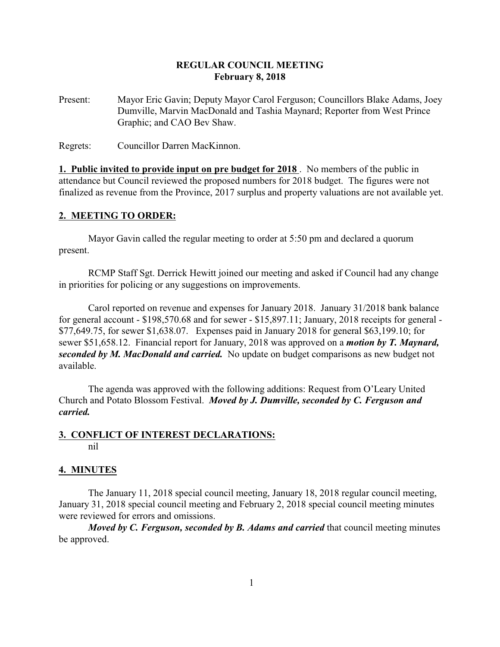# **REGULAR COUNCIL MEETING February 8, 2018**

Present: Mayor Eric Gavin; Deputy Mayor Carol Ferguson; Councillors Blake Adams, Joey Dumville, Marvin MacDonald and Tashia Maynard; Reporter from West Prince Graphic; and CAO Bev Shaw.

Regrets: Councillor Darren MacKinnon.

**1. Public invited to provide input on pre budget for 2018** . No members of the public in attendance but Council reviewed the proposed numbers for 2018 budget. The figures were not finalized as revenue from the Province, 2017 surplus and property valuations are not available yet.

# **2. MEETING TO ORDER:**

Mayor Gavin called the regular meeting to order at 5:50 pm and declared a quorum present.

RCMP Staff Sgt. Derrick Hewitt joined our meeting and asked if Council had any change in priorities for policing or any suggestions on improvements.

Carol reported on revenue and expenses for January 2018. January 31/2018 bank balance for general account - \$198,570.68 and for sewer - \$15,897.11; January, 2018 receipts for general - \$77,649.75, for sewer \$1,638.07. Expenses paid in January 2018 for general \$63,199.10; for sewer \$51,658.12. Financial report for January, 2018 was approved on a *motion by T. Maynard, seconded by M. MacDonald and carried.* No update on budget comparisons as new budget not available.

The agenda was approved with the following additions: Request from O'Leary United Church and Potato Blossom Festival. *Moved by J. Dumville, seconded by C. Ferguson and carried.*

#### **3. CONFLICT OF INTEREST DECLARATIONS:** nil

## **4. MINUTES**

The January 11, 2018 special council meeting, January 18, 2018 regular council meeting, January 31, 2018 special council meeting and February 2, 2018 special council meeting minutes were reviewed for errors and omissions.

*Moved by C. Ferguson, seconded by B. Adams and carried* that council meeting minutes be approved.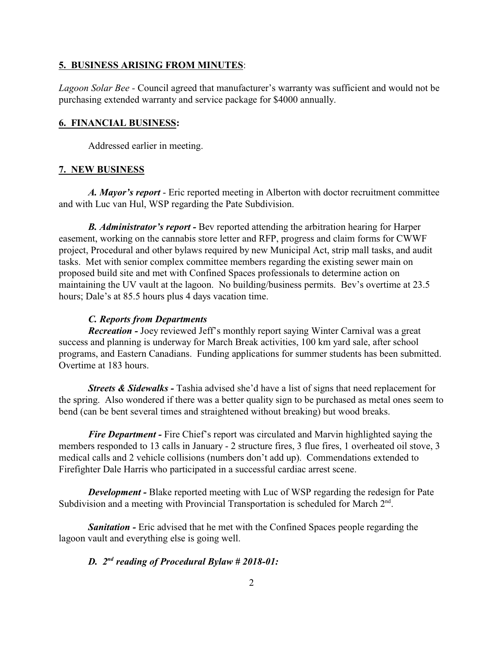#### **5. BUSINESS ARISING FROM MINUTES**:

*Lagoon Solar Bee -* Council agreed that manufacturer's warranty was sufficient and would not be purchasing extended warranty and service package for \$4000 annually.

#### **6. FINANCIAL BUSINESS:**

Addressed earlier in meeting.

#### **7. NEW BUSINESS**

*A. Mayor's report* - Eric reported meeting in Alberton with doctor recruitment committee and with Luc van Hul, WSP regarding the Pate Subdivision.

*B. Administrator's report -* Bev reported attending the arbitration hearing for Harper easement, working on the cannabis store letter and RFP, progress and claim forms for CWWF project, Procedural and other bylaws required by new Municipal Act, strip mall tasks, and audit tasks. Met with senior complex committee members regarding the existing sewer main on proposed build site and met with Confined Spaces professionals to determine action on maintaining the UV vault at the lagoon. No building/business permits. Bev's overtime at 23.5 hours; Dale's at 85.5 hours plus 4 days vacation time.

## *C. Reports from Departments*

*Recreation -* Joey reviewed Jeff's monthly report saying Winter Carnival was a great success and planning is underway for March Break activities, 100 km yard sale, after school programs, and Eastern Canadians. Funding applications for summer students has been submitted. Overtime at 183 hours.

*Streets & Sidewalks* - Tashia advised she'd have a list of signs that need replacement for the spring. Also wondered if there was a better quality sign to be purchased as metal ones seem to bend (can be bent several times and straightened without breaking) but wood breaks.

*Fire Department* - Fire Chief's report was circulated and Marvin highlighted saying the members responded to 13 calls in January - 2 structure fires, 3 flue fires, 1 overheated oil stove, 3 medical calls and 2 vehicle collisions (numbers don't add up). Commendations extended to Firefighter Dale Harris who participated in a successful cardiac arrest scene.

*Development -* Blake reported meeting with Luc of WSP regarding the redesign for Pate Subdivision and a meeting with Provincial Transportation is scheduled for March  $2<sup>nd</sup>$ .

**Sanitation -** Eric advised that he met with the Confined Spaces people regarding the lagoon vault and everything else is going well.

# *D. 2nd reading of Procedural Bylaw # 2018-01:*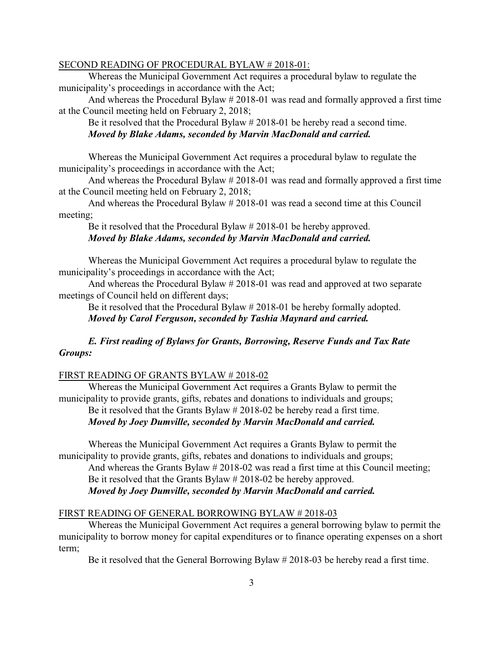#### SECOND READING OF PROCEDURAL BYLAW # 2018-01:

Whereas the Municipal Government Act requires a procedural bylaw to regulate the municipality's proceedings in accordance with the Act;

And whereas the Procedural Bylaw # 2018-01 was read and formally approved a first time at the Council meeting held on February 2, 2018;

Be it resolved that the Procedural Bylaw # 2018-01 be hereby read a second time. *Moved by Blake Adams, seconded by Marvin MacDonald and carried.*

Whereas the Municipal Government Act requires a procedural bylaw to regulate the municipality's proceedings in accordance with the Act;

And whereas the Procedural Bylaw # 2018-01 was read and formally approved a first time at the Council meeting held on February 2, 2018;

And whereas the Procedural Bylaw # 2018-01 was read a second time at this Council meeting;

Be it resolved that the Procedural Bylaw # 2018-01 be hereby approved. *Moved by Blake Adams, seconded by Marvin MacDonald and carried.*

Whereas the Municipal Government Act requires a procedural bylaw to regulate the municipality's proceedings in accordance with the Act;

And whereas the Procedural Bylaw # 2018-01 was read and approved at two separate meetings of Council held on different days;

Be it resolved that the Procedural Bylaw # 2018-01 be hereby formally adopted. *Moved by Carol Ferguson, seconded by Tashia Maynard and carried.*

# *E. First reading of Bylaws for Grants, Borrowing, Reserve Funds and Tax Rate Groups:*

### FIRST READING OF GRANTS BYLAW # 2018-02

Whereas the Municipal Government Act requires a Grants Bylaw to permit the municipality to provide grants, gifts, rebates and donations to individuals and groups;

Be it resolved that the Grants Bylaw # 2018-02 be hereby read a first time.

*Moved by Joey Dumville, seconded by Marvin MacDonald and carried.*

Whereas the Municipal Government Act requires a Grants Bylaw to permit the municipality to provide grants, gifts, rebates and donations to individuals and groups;

And whereas the Grants Bylaw # 2018-02 was read a first time at this Council meeting; Be it resolved that the Grants Bylaw # 2018-02 be hereby approved.

*Moved by Joey Dumville, seconded by Marvin MacDonald and carried.*

#### FIRST READING OF GENERAL BORROWING BYLAW # 2018-03

Whereas the Municipal Government Act requires a general borrowing bylaw to permit the municipality to borrow money for capital expenditures or to finance operating expenses on a short term;

Be it resolved that the General Borrowing Bylaw # 2018-03 be hereby read a first time.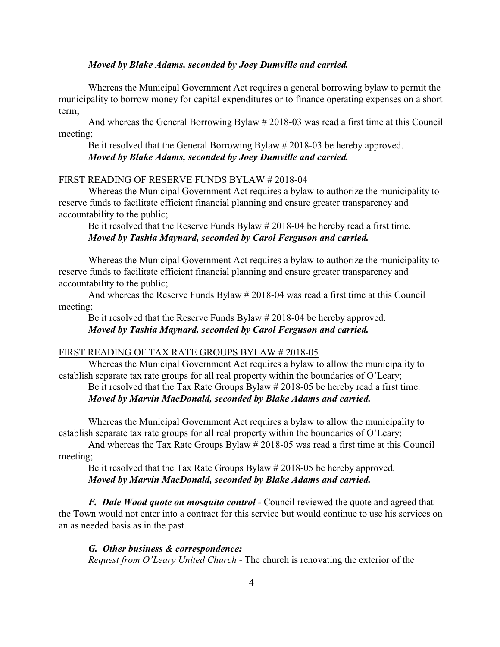## *Moved by Blake Adams, seconded by Joey Dumville and carried.*

Whereas the Municipal Government Act requires a general borrowing bylaw to permit the municipality to borrow money for capital expenditures or to finance operating expenses on a short term;

And whereas the General Borrowing Bylaw # 2018-03 was read a first time at this Council meeting;

Be it resolved that the General Borrowing Bylaw # 2018-03 be hereby approved. *Moved by Blake Adams, seconded by Joey Dumville and carried.*

## FIRST READING OF RESERVE FUNDS BYLAW # 2018-04

Whereas the Municipal Government Act requires a bylaw to authorize the municipality to reserve funds to facilitate efficient financial planning and ensure greater transparency and accountability to the public;

Be it resolved that the Reserve Funds Bylaw # 2018-04 be hereby read a first time. *Moved by Tashia Maynard, seconded by Carol Ferguson and carried.*

Whereas the Municipal Government Act requires a bylaw to authorize the municipality to reserve funds to facilitate efficient financial planning and ensure greater transparency and accountability to the public;

And whereas the Reserve Funds Bylaw # 2018-04 was read a first time at this Council meeting;

Be it resolved that the Reserve Funds Bylaw # 2018-04 be hereby approved. *Moved by Tashia Maynard, seconded by Carol Ferguson and carried.*

## FIRST READING OF TAX RATE GROUPS BYLAW # 2018-05

Whereas the Municipal Government Act requires a bylaw to allow the municipality to establish separate tax rate groups for all real property within the boundaries of O'Leary; Be it resolved that the Tax Rate Groups Bylaw # 2018-05 be hereby read a first time.

# *Moved by Marvin MacDonald, seconded by Blake Adams and carried.*

Whereas the Municipal Government Act requires a bylaw to allow the municipality to establish separate tax rate groups for all real property within the boundaries of O'Leary;

And whereas the Tax Rate Groups Bylaw # 2018-05 was read a first time at this Council meeting;

Be it resolved that the Tax Rate Groups Bylaw # 2018-05 be hereby approved. *Moved by Marvin MacDonald, seconded by Blake Adams and carried.*

*F. Dale Wood quote on mosquito control -* Council reviewed the quote and agreed that the Town would not enter into a contract for this service but would continue to use his services on an as needed basis as in the past.

## *G. Other business & correspondence:*

*Request from O'Leary United Church -* The church is renovating the exterior of the